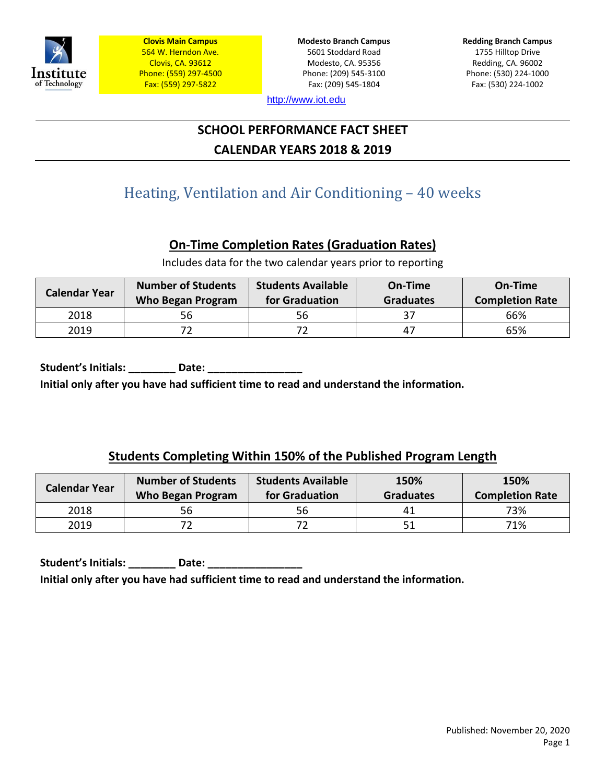

**Modesto Branch Campus** 5601 Stoddard Road Modesto, CA. 95356 Phone: (209) 545-3100 Fax: (209) 545-1804

**Redding Branch Campus** 1755 Hilltop Drive Redding, CA. 96002 Phone: (530) 224-1000 Fax: (530) 224-1002

[http://www.iot.edu](http://www.iot.edu/)

# **SCHOOL PERFORMANCE FACT SHEET CALENDAR YEARS 2018 & 2019**

# Heating, Ventilation and Air Conditioning – 40 weeks

# **On-Time Completion Rates (Graduation Rates)**

Includes data for the two calendar years prior to reporting

| <b>Calendar Year</b> | <b>Number of Students</b><br>Who Began Program | <b>Students Available</b><br>for Graduation | On-Time<br><b>Graduates</b> | On-Time<br><b>Completion Rate</b> |
|----------------------|------------------------------------------------|---------------------------------------------|-----------------------------|-----------------------------------|
| 2018                 | 56                                             | 56                                          | 37                          | 66%                               |
| 2019                 |                                                |                                             | 47                          | 65%                               |

Student's Initials: \_\_\_\_\_\_\_\_\_\_ Date: \_\_\_\_\_ **Initial only after you have had sufficient time to read and understand the information.**

## **Students Completing Within 150% of the Published Program Length**

| Calendar Year | <b>Number of Students</b><br><b>Who Began Program</b> | <b>Students Available</b><br>for Graduation | 150%<br><b>Graduates</b> | 150%<br><b>Completion Rate</b> |
|---------------|-------------------------------------------------------|---------------------------------------------|--------------------------|--------------------------------|
| 2018          | 56                                                    | 56                                          | 41                       | 73%                            |
| 2019          |                                                       |                                             | 51                       | 71%                            |

Student's Initials: **Date: Initial only after you have had sufficient time to read and understand the information.**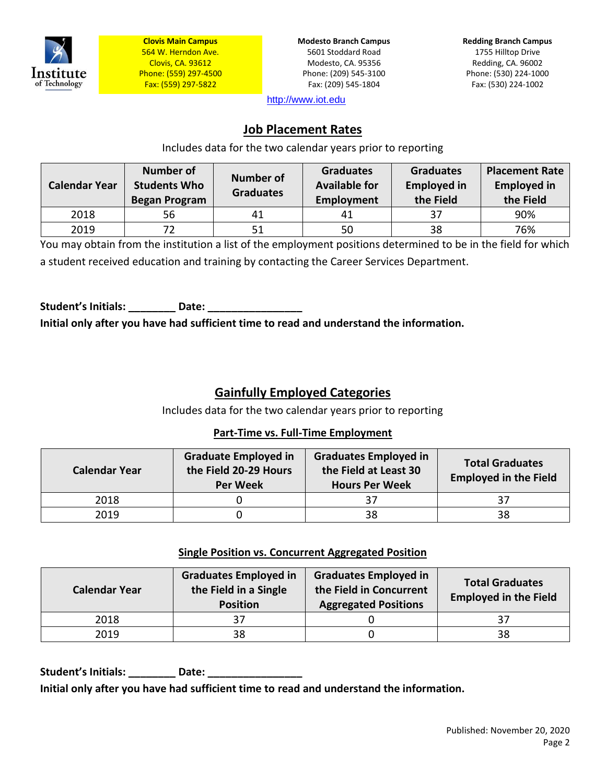

**Modesto Branch Campus** 5601 Stoddard Road Modesto, CA. 95356 Phone: (209) 545-3100 Fax: (209) 545-1804

**Redding Branch Campus** 1755 Hilltop Drive Redding, CA. 96002 Phone: (530) 224-1000 Fax: (530) 224-1002

[http://www.iot.edu](http://www.iot.edu/)

## **Job Placement Rates**

Includes data for the two calendar years prior to reporting

| <b>Calendar Year</b> | <b>Number of</b><br><b>Students Who</b><br><b>Began Program</b> | <b>Number of</b><br><b>Graduates</b> | <b>Graduates</b><br><b>Available for</b><br>Employment | <b>Graduates</b><br><b>Employed in</b><br>the Field | <b>Placement Rate</b><br><b>Employed in</b><br>the Field |
|----------------------|-----------------------------------------------------------------|--------------------------------------|--------------------------------------------------------|-----------------------------------------------------|----------------------------------------------------------|
| 2018                 | 56                                                              | 41                                   |                                                        | 37                                                  | 90%                                                      |
| 2019                 | 72.                                                             | 51                                   | 50                                                     | 38                                                  | 76%                                                      |

You may obtain from the institution a list of the employment positions determined to be in the field for which a student received education and training by contacting the Career Services Department.

Student's Initials: **Date:** Date: **Initial only after you have had sufficient time to read and understand the information.**

# **Gainfully Employed Categories**

Includes data for the two calendar years prior to reporting

#### **Part-Time vs. Full-Time Employment**

| <b>Calendar Year</b> | <b>Graduate Employed in</b><br>the Field 20-29 Hours<br><b>Per Week</b> | <b>Graduates Employed in</b><br>the Field at Least 30<br><b>Hours Per Week</b> | <b>Total Graduates</b><br><b>Employed in the Field</b> |
|----------------------|-------------------------------------------------------------------------|--------------------------------------------------------------------------------|--------------------------------------------------------|
| 2018                 |                                                                         | -37                                                                            |                                                        |
| 2019                 |                                                                         | 38                                                                             | 38                                                     |

#### **Single Position vs. Concurrent Aggregated Position**

| <b>Calendar Year</b> | <b>Graduates Employed in</b><br>the Field in a Single<br><b>Position</b> | <b>Graduates Employed in</b><br>the Field in Concurrent<br><b>Aggregated Positions</b> | <b>Total Graduates</b><br><b>Employed in the Field</b> |
|----------------------|--------------------------------------------------------------------------|----------------------------------------------------------------------------------------|--------------------------------------------------------|
| 2018                 |                                                                          |                                                                                        |                                                        |
| 2019                 | 38                                                                       |                                                                                        | 38                                                     |

Student's Initials: **Example 20 Date: Date: Initial only after you have had sufficient time to read and understand the information.**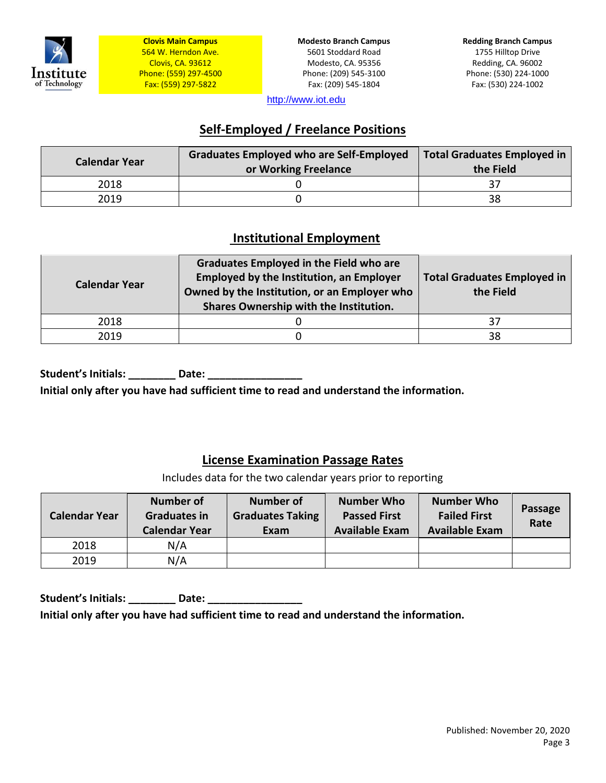

**Modesto Branch Campus** 5601 Stoddard Road Modesto, CA. 95356 Phone: (209) 545-3100 Fax: (209) 545-1804

[http://www.iot.edu](http://www.iot.edu/)

# **Self-Employed / Freelance Positions**

| <b>Calendar Year</b> | <b>Graduates Employed who are Self-Employed</b><br>or Working Freelance | <b>Total Graduates Employed in</b><br>the Field |
|----------------------|-------------------------------------------------------------------------|-------------------------------------------------|
| 2018                 |                                                                         |                                                 |
| 2019                 |                                                                         | 38                                              |

## **Institutional Employment**

| <b>Calendar Year</b> | <b>Graduates Employed in the Field who are</b><br><b>Employed by the Institution, an Employer</b><br>Owned by the Institution, or an Employer who<br>Shares Ownership with the Institution. | <b>Total Graduates Employed in</b><br>the Field |
|----------------------|---------------------------------------------------------------------------------------------------------------------------------------------------------------------------------------------|-------------------------------------------------|
| 2018                 |                                                                                                                                                                                             | 37                                              |
| 2019                 |                                                                                                                                                                                             | 38                                              |

**Student's Initials: \_\_\_\_\_\_\_\_ Date: \_\_\_\_\_\_\_\_\_\_\_\_\_\_\_\_** 

**Initial only after you have had sufficient time to read and understand the information.**

#### **License Examination Passage Rates**

Includes data for the two calendar years prior to reporting

| <b>Calendar Year</b> | <b>Number of</b><br><b>Graduates in</b><br><b>Calendar Year</b> | <b>Number of</b><br><b>Graduates Taking</b><br>Exam | <b>Number Who</b><br><b>Passed First</b><br><b>Available Exam</b> | <b>Number Who</b><br><b>Failed First</b><br><b>Available Exam</b> | Passage<br>Rate |
|----------------------|-----------------------------------------------------------------|-----------------------------------------------------|-------------------------------------------------------------------|-------------------------------------------------------------------|-----------------|
| 2018                 | N/A                                                             |                                                     |                                                                   |                                                                   |                 |
| 2019                 | N/A                                                             |                                                     |                                                                   |                                                                   |                 |

Student's Initials: \_\_\_\_\_\_\_\_\_\_ Date: \_\_\_\_ **Initial only after you have had sufficient time to read and understand the information.**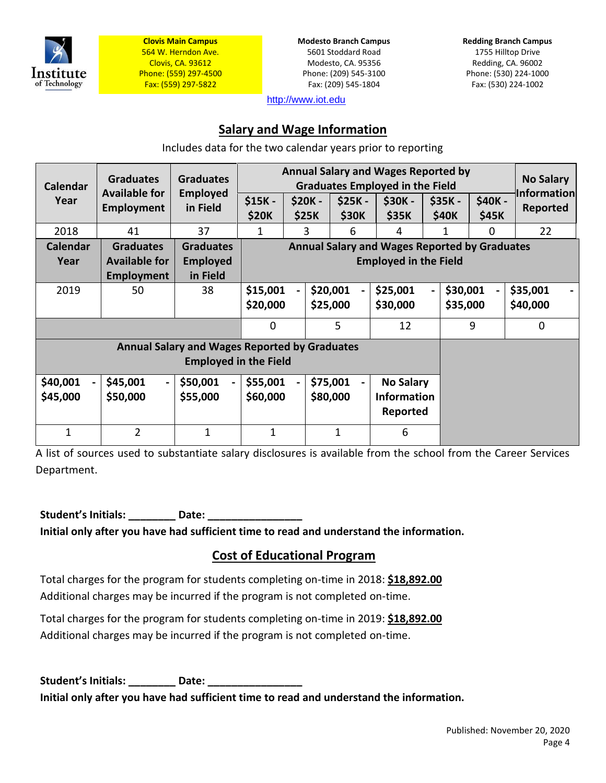

**Modesto Branch Campus** 5601 Stoddard Road Modesto, CA. 95356 Phone: (209) 545-3100 Fax: (209) 545-1804

**Redding Branch Campus** 1755 Hilltop Drive Redding, CA. 96002 Phone: (530) 224-1000 Fax: (530) 224-1002

[http://www.iot.edu](http://www.iot.edu/)

#### **Salary and Wage Information**

Includes data for the two calendar years prior to reporting

| <b>Calendar</b> | <b>Graduates</b><br><b>Available for</b>                                             | <b>Graduates</b>            |                         | <b>Annual Salary and Wages Reported by</b><br><b>Graduates Employed in the Field</b> |                         |                          |                                                      |  | <b>No Salary</b><br><b>Information</b> |                         |          |
|-----------------|--------------------------------------------------------------------------------------|-----------------------------|-------------------------|--------------------------------------------------------------------------------------|-------------------------|--------------------------|------------------------------------------------------|--|----------------------------------------|-------------------------|----------|
| Year            | <b>Employment</b>                                                                    | <b>Employed</b><br>in Field | \$15K -<br><b>\$20K</b> |                                                                                      | \$20K -<br><b>\$25K</b> | $$25K -$<br><b>\$30K</b> | <b>\$30K-</b><br><b>\$35K</b>                        |  | \$35K -<br><b>\$40K</b>                | \$40K -<br><b>\$45K</b> | Reported |
| 2018            | 41                                                                                   | 37                          | 1                       |                                                                                      | 3                       | 6                        | 4                                                    |  | 1                                      | $\Omega$                | 22       |
| <b>Calendar</b> | <b>Graduates</b>                                                                     | <b>Graduates</b>            |                         |                                                                                      |                         |                          | <b>Annual Salary and Wages Reported by Graduates</b> |  |                                        |                         |          |
| Year            | <b>Available for</b>                                                                 | <b>Employed</b>             |                         |                                                                                      |                         |                          | <b>Employed in the Field</b>                         |  |                                        |                         |          |
|                 | <b>Employment</b>                                                                    | in Field                    |                         |                                                                                      |                         |                          |                                                      |  |                                        |                         |          |
| 2019            | 50                                                                                   | 38                          | \$15,001                |                                                                                      |                         | \$20,001                 | \$25,001                                             |  | \$30,001                               |                         | \$35,001 |
|                 |                                                                                      |                             | \$20,000                |                                                                                      |                         | \$25,000                 | \$30,000                                             |  | \$35,000                               |                         | \$40,000 |
|                 |                                                                                      |                             | $\Omega$                |                                                                                      |                         | 5                        | 12                                                   |  |                                        | 9                       | 0        |
|                 | <b>Annual Salary and Wages Reported by Graduates</b><br><b>Employed in the Field</b> |                             |                         |                                                                                      |                         |                          |                                                      |  |                                        |                         |          |
| \$40,001        | \$45,001                                                                             | \$50,001                    | \$55,001                |                                                                                      |                         | \$75,001                 | <b>No Salary</b>                                     |  |                                        |                         |          |
| \$45,000        | \$50,000                                                                             | \$55,000                    | \$60,000                |                                                                                      |                         | \$80,000                 | <b>Information</b>                                   |  |                                        |                         |          |
|                 |                                                                                      |                             |                         |                                                                                      |                         |                          | Reported                                             |  |                                        |                         |          |
| 1               | $\overline{2}$                                                                       | 1                           | $\mathbf{1}$            |                                                                                      |                         | 1                        | 6                                                    |  |                                        |                         |          |

A list of sources used to substantiate salary disclosures is available from the school from the Career Services Department.

**Student's Initials: \_\_\_\_\_\_\_\_ Date: \_\_\_\_\_\_\_\_\_\_\_\_\_\_\_\_** 

**Initial only after you have had sufficient time to read and understand the information.**

#### **Cost of Educational Program**

Total charges for the program for students completing on-time in 2018: **\$18,892.00** Additional charges may be incurred if the program is not completed on-time.

Total charges for the program for students completing on-time in 2019: **\$18,892.00** Additional charges may be incurred if the program is not completed on-time.

Student's Initials: **Date:** Date: **Initial only after you have had sufficient time to read and understand the information.**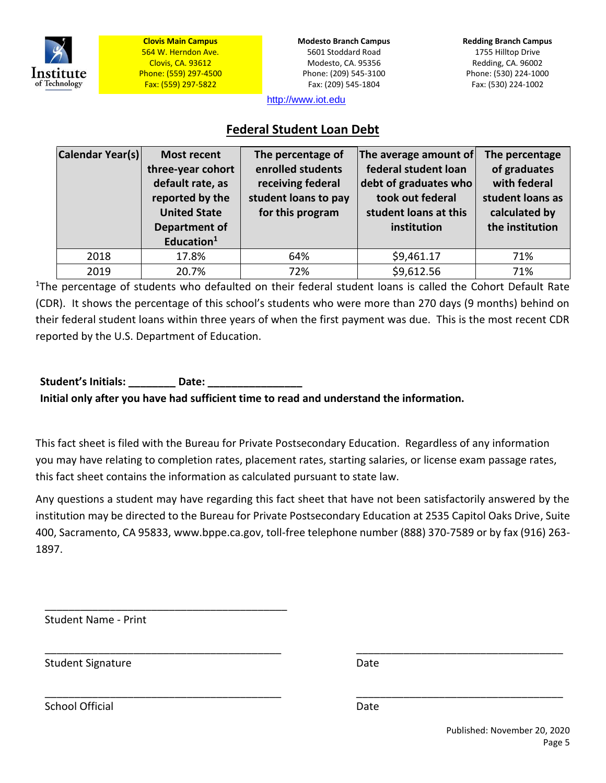

**Modesto Branch Campus** 5601 Stoddard Road Modesto, CA. 95356 Phone: (209) 545-3100 Fax: (209) 545-1804

**Redding Branch Campus** 1755 Hilltop Drive Redding, CA. 96002 Phone: (530) 224-1000 Fax: (530) 224-1002

[http://www.iot.edu](http://www.iot.edu/)

## **Federal Student Loan Debt**

| Calendar Year(s) | <b>Most recent</b><br>three-year cohort<br>default rate, as<br>reported by the<br><b>United State</b><br><b>Department of</b><br>Education $1$ | The percentage of<br>enrolled students<br>receiving federal<br>student loans to pay<br>for this program | The average amount of<br>federal student loan<br>debt of graduates who<br>took out federal<br>student loans at this<br>institution | The percentage<br>of graduates<br>with federal<br>student loans as<br>calculated by<br>the institution |
|------------------|------------------------------------------------------------------------------------------------------------------------------------------------|---------------------------------------------------------------------------------------------------------|------------------------------------------------------------------------------------------------------------------------------------|--------------------------------------------------------------------------------------------------------|
| 2018             | 17.8%                                                                                                                                          | 64%                                                                                                     | \$9,461.17                                                                                                                         | 71%                                                                                                    |
| 2019             | 20.7%                                                                                                                                          | 72%                                                                                                     | \$9,612.56                                                                                                                         | 71%                                                                                                    |

<sup>1</sup>The percentage of students who defaulted on their federal student loans is called the Cohort Default Rate (CDR). It shows the percentage of this school's students who were more than 270 days (9 months) behind on their federal student loans within three years of when the first payment was due. This is the most recent CDR reported by the U.S. Department of Education.

Student's Initials: **Example 18 Date: Initial only after you have had sufficient time to read and understand the information.**

This fact sheet is filed with the Bureau for Private Postsecondary Education. Regardless of any information you may have relating to completion rates, placement rates, starting salaries, or license exam passage rates, this fact sheet contains the information as calculated pursuant to state law.

Any questions a student may have regarding this fact sheet that have not been satisfactorily answered by the institution may be directed to the Bureau for Private Postsecondary Education at 2535 Capitol Oaks Drive, Suite 400, Sacramento, CA 95833[, www.bppe.ca.gov,](http://www.bppe.ca.gov/) toll-free telephone number (888) 370-7589 or by fax (916) 263- 1897.

\_\_\_\_\_\_\_\_\_\_\_\_\_\_\_\_\_\_\_\_\_\_\_\_\_\_\_\_\_\_\_\_\_\_\_\_\_\_\_\_ \_\_\_\_\_\_\_\_\_\_\_\_\_\_\_\_\_\_\_\_\_\_\_\_\_\_\_\_\_\_\_\_\_\_\_

Student Name - Print

\_\_\_\_\_\_\_\_\_\_\_\_\_\_\_\_\_\_\_\_\_\_\_\_\_\_\_\_\_\_\_\_\_\_\_\_\_\_\_\_\_

Student Signature Date Date

\_\_\_\_\_\_\_\_\_\_\_\_\_\_\_\_\_\_\_\_\_\_\_\_\_\_\_\_\_\_\_\_\_\_\_\_\_\_\_\_ \_\_\_\_\_\_\_\_\_\_\_\_\_\_\_\_\_\_\_\_\_\_\_\_\_\_\_\_\_\_\_\_\_\_\_

School Official Date Date Date Date Date Date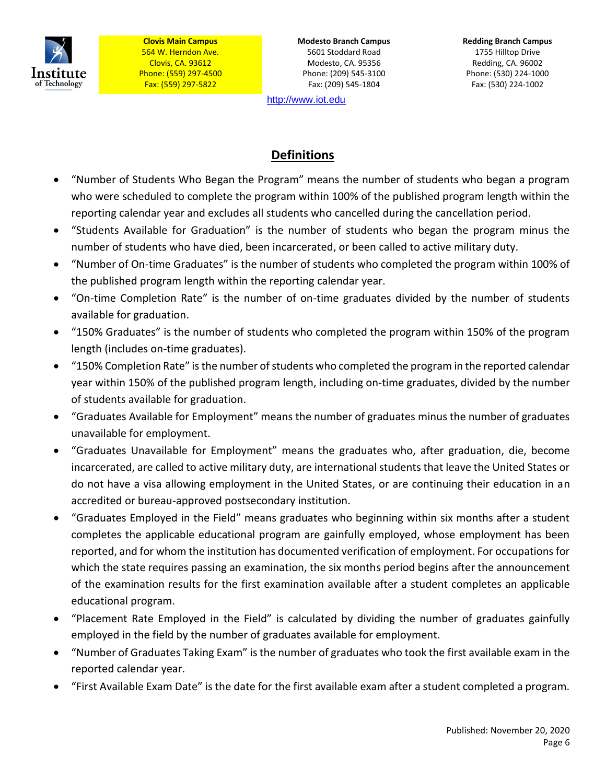

**Modesto Branch Campus** 5601 Stoddard Road Modesto, CA. 95356 Phone: (209) 545-3100 Fax: (209) 545-1804

[http://www.iot.edu](http://www.iot.edu/)

**Redding Branch Campus** 1755 Hilltop Drive Redding, CA. 96002 Phone: (530) 224-1000 Fax: (530) 224-1002

# **Definitions**

- "Number of Students Who Began the Program" means the number of students who began a program who were scheduled to complete the program within 100% of the published program length within the reporting calendar year and excludes all students who cancelled during the cancellation period.
- "Students Available for Graduation" is the number of students who began the program minus the number of students who have died, been incarcerated, or been called to active military duty.
- "Number of On-time Graduates" is the number of students who completed the program within 100% of the published program length within the reporting calendar year.
- "On-time Completion Rate" is the number of on-time graduates divided by the number of students available for graduation.
- "150% Graduates" is the number of students who completed the program within 150% of the program length (includes on-time graduates).
- "150% Completion Rate" is the number of students who completed the program in the reported calendar year within 150% of the published program length, including on-time graduates, divided by the number of students available for graduation.
- "Graduates Available for Employment" means the number of graduates minus the number of graduates unavailable for employment.
- "Graduates Unavailable for Employment" means the graduates who, after graduation, die, become incarcerated, are called to active military duty, are international students that leave the United States or do not have a visa allowing employment in the United States, or are continuing their education in an accredited or bureau-approved postsecondary institution.
- "Graduates Employed in the Field" means graduates who beginning within six months after a student completes the applicable educational program are gainfully employed, whose employment has been reported, and for whom the institution has documented verification of employment. For occupations for which the state requires passing an examination, the six months period begins after the announcement of the examination results for the first examination available after a student completes an applicable educational program.
- "Placement Rate Employed in the Field" is calculated by dividing the number of graduates gainfully employed in the field by the number of graduates available for employment.
- "Number of Graduates Taking Exam" is the number of graduates who took the first available exam in the reported calendar year.
- "First Available Exam Date" is the date for the first available exam after a student completed a program.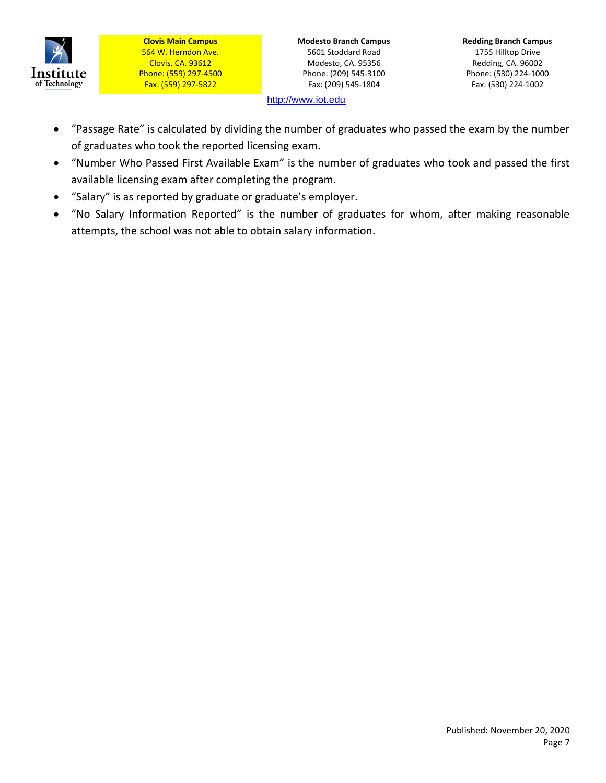

**Modesto Branch Campus** 5601 Stoddard Road Modesto, CA. 95356 Phone: (209) 545-3100 Fax: (209) 545-1804

**Redding Branch Campus** 1755 Hilltop Drive Redding, CA. 96002 Phone: (530) 224-1000 Fax: (530) 224-1002

[http://www.iot.edu](http://www.iot.edu/)

- "Passage Rate" is calculated by dividing the number of graduates who passed the exam by the number of graduates who took the reported licensing exam.
- "Number Who Passed First Available Exam" is the number of graduates who took and passed the first available licensing exam after completing the program.
- "Salary" is as reported by graduate or graduate's employer.
- "No Salary Information Reported" is the number of graduates for whom, after making reasonable attempts, the school was not able to obtain salary information.